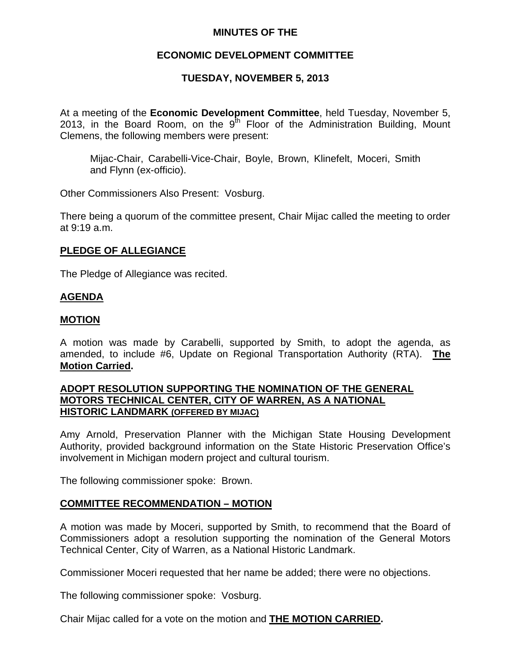## **MINUTES OF THE**

## **ECONOMIC DEVELOPMENT COMMITTEE**

## **TUESDAY, NOVEMBER 5, 2013**

At a meeting of the **Economic Development Committee**, held Tuesday, November 5, 2013, in the Board Room, on the  $9<sup>th</sup>$  Floor of the Administration Building, Mount Clemens, the following members were present:

Mijac-Chair, Carabelli-Vice-Chair, Boyle, Brown, Klinefelt, Moceri, Smith and Flynn (ex-officio).

Other Commissioners Also Present: Vosburg.

There being a quorum of the committee present, Chair Mijac called the meeting to order at 9:19 a.m.

#### **PLEDGE OF ALLEGIANCE**

The Pledge of Allegiance was recited.

#### **AGENDA**

#### **MOTION**

A motion was made by Carabelli, supported by Smith, to adopt the agenda, as amended, to include #6, Update on Regional Transportation Authority (RTA). **The Motion Carried.** 

#### **ADOPT RESOLUTION SUPPORTING THE NOMINATION OF THE GENERAL MOTORS TECHNICAL CENTER, CITY OF WARREN, AS A NATIONAL HISTORIC LANDMARK (OFFERED BY MIJAC)**

Amy Arnold, Preservation Planner with the Michigan State Housing Development Authority, provided background information on the State Historic Preservation Office's involvement in Michigan modern project and cultural tourism.

The following commissioner spoke: Brown.

#### **COMMITTEE RECOMMENDATION – MOTION**

A motion was made by Moceri, supported by Smith, to recommend that the Board of Commissioners adopt a resolution supporting the nomination of the General Motors Technical Center, City of Warren, as a National Historic Landmark.

Commissioner Moceri requested that her name be added; there were no objections.

The following commissioner spoke: Vosburg.

Chair Mijac called for a vote on the motion and **THE MOTION CARRIED.**